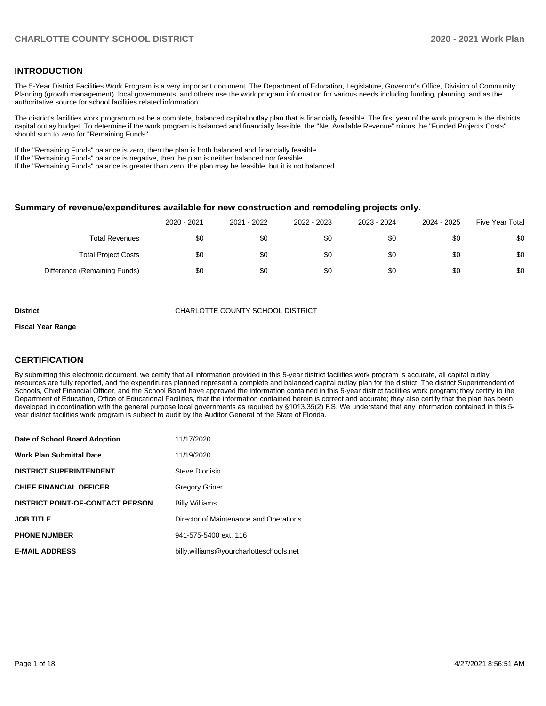## **INTRODUCTION**

The 5-Year District Facilities Work Program is a very important document. The Department of Education, Legislature, Governor's Office, Division of Community Planning (growth management), local governments, and others use the work program information for various needs including funding, planning, and as the authoritative source for school facilities related information.

The district's facilities work program must be a complete, balanced capital outlay plan that is financially feasible. The first year of the work program is the districts capital outlay budget. To determine if the work program is balanced and financially feasible, the "Net Available Revenue" minus the "Funded Projects Costs" should sum to zero for "Remaining Funds".

If the "Remaining Funds" balance is zero, then the plan is both balanced and financially feasible.

If the "Remaining Funds" balance is negative, then the plan is neither balanced nor feasible.

If the "Remaining Funds" balance is greater than zero, the plan may be feasible, but it is not balanced.

#### **Summary of revenue/expenditures available for new construction and remodeling projects only.**

|                              | 2020 - 2021 | 2021 - 2022 | 2022 - 2023 | 2023 - 2024 | 2024 - 2025 | <b>Five Year Total</b> |
|------------------------------|-------------|-------------|-------------|-------------|-------------|------------------------|
| Total Revenues               | \$0         | \$0         | \$0         | \$0         | \$0         | \$0                    |
| <b>Total Project Costs</b>   | \$0         | \$0         | \$0         | \$0         | \$0         | \$0                    |
| Difference (Remaining Funds) | \$0         | \$0         | \$0         | \$0         | \$0         | \$0                    |

**District COUNTY SCHOOL DISTRICT** CHARLOTTE COUNTY SCHOOL DISTRICT

#### **Fiscal Year Range**

## **CERTIFICATION**

By submitting this electronic document, we certify that all information provided in this 5-year district facilities work program is accurate, all capital outlay resources are fully reported, and the expenditures planned represent a complete and balanced capital outlay plan for the district. The district Superintendent of Schools, Chief Financial Officer, and the School Board have approved the information contained in this 5-year district facilities work program; they certify to the Department of Education, Office of Educational Facilities, that the information contained herein is correct and accurate; they also certify that the plan has been developed in coordination with the general purpose local governments as required by §1013.35(2) F.S. We understand that any information contained in this 5 year district facilities work program is subject to audit by the Auditor General of the State of Florida.

| Date of School Board Adoption           | 11/17/2020                              |
|-----------------------------------------|-----------------------------------------|
| <b>Work Plan Submittal Date</b>         | 11/19/2020                              |
| <b>DISTRICT SUPERINTENDENT</b>          | Steve Dionisio                          |
| <b>CHIEF FINANCIAL OFFICER</b>          | Gregory Griner                          |
| <b>DISTRICT POINT-OF-CONTACT PERSON</b> | <b>Billy Williams</b>                   |
| <b>JOB TITLE</b>                        | Director of Maintenance and Operations  |
| <b>PHONE NUMBER</b>                     | 941-575-5400 ext. 116                   |
| <b>E-MAIL ADDRESS</b>                   | billy.williams@yourcharlotteschools.net |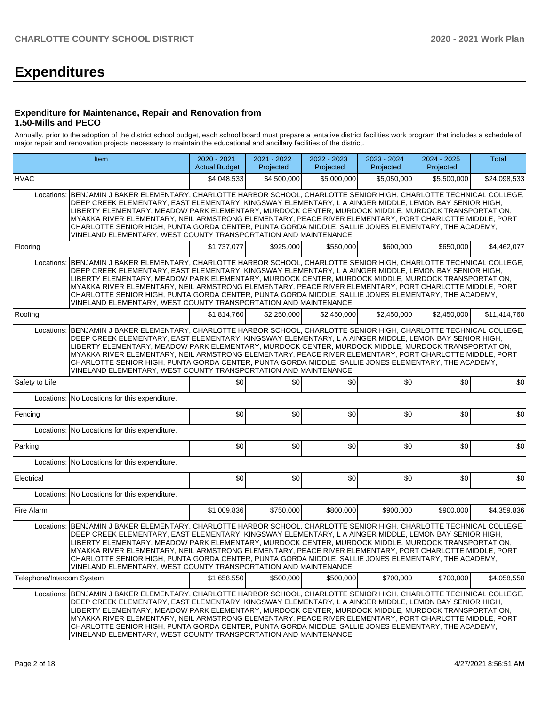# **Expenditures**

## **Expenditure for Maintenance, Repair and Renovation from 1.50-Mills and PECO**

Annually, prior to the adoption of the district school budget, each school board must prepare a tentative district facilities work program that includes a schedule of major repair and renovation projects necessary to maintain the educational and ancillary facilities of the district.

|                           | Item                                                                                                                                                                                                                                                                                                                                                                                                                                                                                                                                                                                                                          |             | 2021 - 2022<br>Projected | 2022 - 2023<br>Projected | 2023 - 2024<br>Projected | 2024 - 2025<br>Projected | <b>Total</b> |
|---------------------------|-------------------------------------------------------------------------------------------------------------------------------------------------------------------------------------------------------------------------------------------------------------------------------------------------------------------------------------------------------------------------------------------------------------------------------------------------------------------------------------------------------------------------------------------------------------------------------------------------------------------------------|-------------|--------------------------|--------------------------|--------------------------|--------------------------|--------------|
| <b>HVAC</b>               |                                                                                                                                                                                                                                                                                                                                                                                                                                                                                                                                                                                                                               | \$4,048,533 | \$4,500,000              | \$5,000,000              | \$5,050,000              | \$5,500,000              | \$24,098,533 |
| Locations:                | BENJAMIN J BAKER ELEMENTARY, CHARLOTTE HARBOR SCHOOL, CHARLOTTE SENIOR HIGH, CHARLOTTE TECHNICAL COLLEGE,<br>DEEP CREEK ELEMENTARY, EAST ELEMENTARY, KINGSWAY ELEMENTARY, L A AINGER MIDDLE, LEMON BAY SENIOR HIGH,<br>LIBERTY ELEMENTARY, MEADOW PARK ELEMENTARY, MURDOCK CENTER, MURDOCK MIDDLE, MURDOCK TRANSPORTATION,<br>MYAKKA RIVER ELEMENTARY, NEIL ARMSTRONG ELEMENTARY, PEACE RIVER ELEMENTARY, PORT CHARLOTTE MIDDLE, PORT<br>CHARLOTTE SENIOR HIGH, PUNTA GORDA CENTER, PUNTA GORDA MIDDLE, SALLIE JONES ELEMENTARY, THE ACADEMY,<br>VINELAND ELEMENTARY, WEST COUNTY TRANSPORTATION AND MAINTENANCE              |             |                          |                          |                          |                          |              |
| Flooring                  |                                                                                                                                                                                                                                                                                                                                                                                                                                                                                                                                                                                                                               | \$1,737,077 | \$925.000                | \$550.000                | \$600,000                | \$650,000                | \$4,462,077  |
| Locations:                | BENJAMIN J BAKER ELEMENTARY, CHARLOTTE HARBOR SCHOOL, CHARLOTTE SENIOR HIGH, CHARLOTTE TECHNICAL COLLEGE,<br>DEEP CREEK ELEMENTARY, EAST ELEMENTARY, KINGSWAY ELEMENTARY, L A AINGER MIDDLE, LEMON BAY SENIOR HIGH,<br>LIBERTY ELEMENTARY, MEADOW PARK ELEMENTARY, MURDOCK CENTER, MURDOCK MIDDLE, MURDOCK TRANSPORTATION,<br>MYAKKA RIVER ELEMENTARY, NEIL ARMSTRONG ELEMENTARY, PEACE RIVER ELEMENTARY, PORT CHARLOTTE MIDDLE, PORT<br>CHARLOTTE SENIOR HIGH, PUNTA GORDA CENTER, PUNTA GORDA MIDDLE, SALLIE JONES ELEMENTARY, THE ACADEMY,<br>VINELAND ELEMENTARY, WEST COUNTY TRANSPORTATION AND MAINTENANCE              |             |                          |                          |                          |                          |              |
| Roofing                   |                                                                                                                                                                                                                                                                                                                                                                                                                                                                                                                                                                                                                               | \$1,814,760 | \$2,250,000              | \$2,450,000              | \$2,450,000              | \$2,450,000              | \$11,414,760 |
| Locations:                | BENJAMIN J BAKER ELEMENTARY, CHARLOTTE HARBOR SCHOOL, CHARLOTTE SENIOR HIGH, CHARLOTTE TECHNICAL COLLEGE,<br>DEEP CREEK ELEMENTARY, EAST ELEMENTARY, KINGSWAY ELEMENTARY, L A AINGER MIDDLE, LEMON BAY SENIOR HIGH,<br>LIBERTY ELEMENTARY, MEADOW PARK ELEMENTARY, MURDOCK CENTER, MURDOCK MIDDLE, MURDOCK TRANSPORTATION,<br>MYAKKA RIVER ELEMENTARY, NEIL ARMSTRONG ELEMENTARY, PEACE RIVER ELEMENTARY, PORT CHARLOTTE MIDDLE, PORT<br>CHARLOTTE SENIOR HIGH, PUNTA GORDA CENTER, PUNTA GORDA MIDDLE, SALLIE JONES ELEMENTARY, THE ACADEMY,<br>VINELAND ELEMENTARY, WEST COUNTY TRANSPORTATION AND MAINTENANCE              |             |                          |                          |                          |                          |              |
| Safety to Life            |                                                                                                                                                                                                                                                                                                                                                                                                                                                                                                                                                                                                                               | \$0         | \$0                      | \$0                      | \$0                      | \$0                      | \$0          |
| Locations:                | No Locations for this expenditure.                                                                                                                                                                                                                                                                                                                                                                                                                                                                                                                                                                                            |             |                          |                          |                          |                          |              |
| Fencing                   |                                                                                                                                                                                                                                                                                                                                                                                                                                                                                                                                                                                                                               | \$0         | \$0                      | \$0                      | \$0                      | \$0                      | \$0          |
|                           | Locations: No Locations for this expenditure.                                                                                                                                                                                                                                                                                                                                                                                                                                                                                                                                                                                 |             |                          |                          |                          |                          |              |
| Parking                   |                                                                                                                                                                                                                                                                                                                                                                                                                                                                                                                                                                                                                               | \$0         | \$0                      | \$0                      | \$0                      | \$0                      | \$0          |
|                           | Locations: No Locations for this expenditure.                                                                                                                                                                                                                                                                                                                                                                                                                                                                                                                                                                                 |             |                          |                          |                          |                          |              |
| Electrical                |                                                                                                                                                                                                                                                                                                                                                                                                                                                                                                                                                                                                                               | \$0         | \$0                      | \$0                      | \$0                      | \$0                      | \$0          |
| Locations:                | No Locations for this expenditure.                                                                                                                                                                                                                                                                                                                                                                                                                                                                                                                                                                                            |             |                          |                          |                          |                          |              |
| Fire Alarm                |                                                                                                                                                                                                                                                                                                                                                                                                                                                                                                                                                                                                                               | \$1,009,836 | \$750,000                | \$800,000                | \$900,000                | \$900,000                | \$4,359,836  |
|                           | Locations:   BENJAMIN J BAKER ELEMENTARY, CHARLOTTE HARBOR SCHOOL, CHARLOTTE SENIOR HIGH, CHARLOTTE TECHNICAL COLLEGE,<br>DEEP CREEK ELEMENTARY, EAST ELEMENTARY, KINGSWAY ELEMENTARY, L A AINGER MIDDLE, LEMON BAY SENIOR HIGH,<br>LIBERTY ELEMENTARY, MEADOW PARK ELEMENTARY, MURDOCK CENTER, MURDOCK MIDDLE, MURDOCK TRANSPORTATION,<br>MYAKKA RIVER ELEMENTARY, NEIL ARMSTRONG ELEMENTARY, PEACE RIVER ELEMENTARY, PORT CHARLOTTE MIDDLE, PORT<br>CHARLOTTE SENIOR HIGH, PUNTA GORDA CENTER, PUNTA GORDA MIDDLE, SALLIE JONES ELEMENTARY, THE ACADEMY,<br>VINELAND ELEMENTARY, WEST COUNTY TRANSPORTATION AND MAINTENANCE |             |                          |                          |                          |                          |              |
| Telephone/Intercom System |                                                                                                                                                                                                                                                                                                                                                                                                                                                                                                                                                                                                                               | \$1,658,550 | \$500,000                | \$500,000                | \$700,000                | \$700,000                | \$4,058,550  |
| Locations:                | BENJAMIN J BAKER ELEMENTARY, CHARLOTTE HARBOR SCHOOL, CHARLOTTE SENIOR HIGH, CHARLOTTE TECHNICAL COLLEGE,<br>DEEP CREEK ELEMENTARY, EAST ELEMENTARY, KINGSWAY ELEMENTARY, L A AINGER MIDDLE, LEMON BAY SENIOR HIGH,<br>LIBERTY ELEMENTARY, MEADOW PARK ELEMENTARY, MURDOCK CENTER, MURDOCK MIDDLE, MURDOCK TRANSPORTATION,<br>MYAKKA RIVER ELEMENTARY, NEIL ARMSTRONG ELEMENTARY, PEACE RIVER ELEMENTARY, PORT CHARLOTTE MIDDLE, PORT<br>CHARLOTTE SENIOR HIGH, PUNTA GORDA CENTER, PUNTA GORDA MIDDLE, SALLIE JONES ELEMENTARY, THE ACADEMY,<br>VINELAND ELEMENTARY, WEST COUNTY TRANSPORTATION AND MAINTENANCE              |             |                          |                          |                          |                          |              |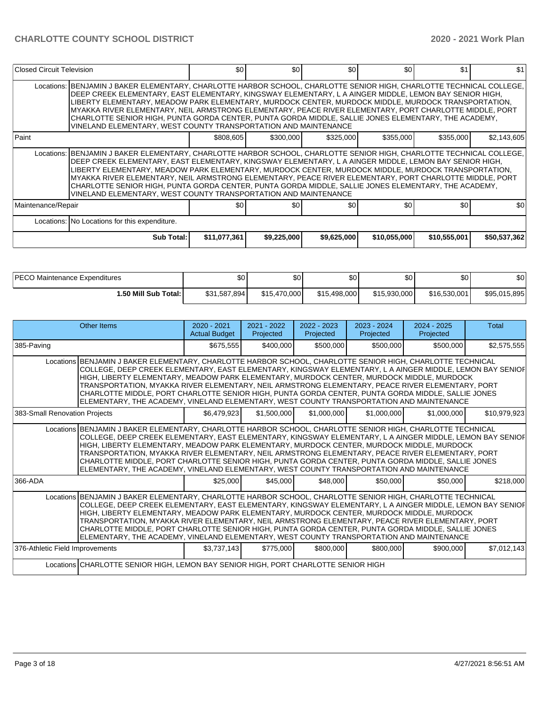| Closed Circuit Television |                                                                                                                                                                                                                                                                                                                                                                                                                                                                                                                                                                                                                             | \$0          | \$0         | \$0              | \$0          | \$1          | \$1          |
|---------------------------|-----------------------------------------------------------------------------------------------------------------------------------------------------------------------------------------------------------------------------------------------------------------------------------------------------------------------------------------------------------------------------------------------------------------------------------------------------------------------------------------------------------------------------------------------------------------------------------------------------------------------------|--------------|-------------|------------------|--------------|--------------|--------------|
|                           | Locations: BENJAMIN J BAKER ELEMENTARY, CHARLOTTE HARBOR SCHOOL, CHARLOTTE SENIOR HIGH, CHARLOTTE TECHNICAL COLLEGE,<br>DEEP CREEK ELEMENTARY, EAST ELEMENTARY, KINGSWAY ELEMENTARY, L A AINGER MIDDLE, LEMON BAY SENIOR HIGH,<br>LIBERTY ELEMENTARY, MEADOW PARK ELEMENTARY, MURDOCK CENTER, MURDOCK MIDDLE, MURDOCK TRANSPORTATION,<br>MYAKKA RIVER ELEMENTARY, NEIL ARMSTRONG ELEMENTARY, PEACE RIVER ELEMENTARY, PORT CHARLOTTE MIDDLE, PORT<br>CHARLOTTE SENIOR HIGH, PUNTA GORDA CENTER, PUNTA GORDA MIDDLE, SALLIE JONES ELEMENTARY, THE ACADEMY,<br>VINELAND ELEMENTARY, WEST COUNTY TRANSPORTATION AND MAINTENANCE |              |             |                  |              |              |              |
| Paint                     |                                                                                                                                                                                                                                                                                                                                                                                                                                                                                                                                                                                                                             | \$808,605    | \$300,000   | \$325,000        | \$355,000    | \$355,000    | \$2,143,605  |
|                           | Locations: BENJAMIN J BAKER ELEMENTARY, CHARLOTTE HARBOR SCHOOL, CHARLOTTE SENIOR HIGH, CHARLOTTE TECHNICAL COLLEGE,<br>DEEP CREEK ELEMENTARY, EAST ELEMENTARY, KINGSWAY ELEMENTARY, L A AINGER MIDDLE, LEMON BAY SENIOR HIGH,<br>LIBERTY ELEMENTARY, MEADOW PARK ELEMENTARY, MURDOCK CENTER, MURDOCK MIDDLE, MURDOCK TRANSPORTATION,<br>MYAKKA RIVER ELEMENTARY, NEIL ARMSTRONG ELEMENTARY, PEACE RIVER ELEMENTARY, PORT CHARLOTTE MIDDLE, PORT<br>CHARLOTTE SENIOR HIGH, PUNTA GORDA CENTER, PUNTA GORDA MIDDLE, SALLIE JONES ELEMENTARY, THE ACADEMY,<br>VINELAND ELEMENTARY, WEST COUNTY TRANSPORTATION AND MAINTENANCE |              |             |                  |              |              |              |
| Maintenance/Repair        |                                                                                                                                                                                                                                                                                                                                                                                                                                                                                                                                                                                                                             | \$0          | \$0         | \$0 <sub>1</sub> | \$0          | \$0          | \$0          |
|                           | Locations: No Locations for this expenditure.                                                                                                                                                                                                                                                                                                                                                                                                                                                                                                                                                                               |              |             |                  |              |              |              |
|                           | Sub Total:                                                                                                                                                                                                                                                                                                                                                                                                                                                                                                                                                                                                                  | \$11,077,361 | \$9,225,000 | \$9,625,000      | \$10,055,000 | \$10,555,001 | \$50,537,362 |

| <b>IPECO Maintenance Expenditures</b> | ا80          | $\sim$<br>Ψ  | ሶሳ<br>υŒ     | ሶሳ<br>υU     | \$0          | \$0          |
|---------------------------------------|--------------|--------------|--------------|--------------|--------------|--------------|
| 1.50 Mill Sub Total: İ                | \$31,587,894 | \$15,470,000 | \$15,498,000 | \$15.930.000 | \$16,530,001 | \$95,015,895 |

| Other Items                                                                                                                                                                                                                                                                                                                                                                                                                                                                                                                                                                                                                | $2020 - 2021$<br><b>Actual Budget</b> | 2021 - 2022<br>Projected | $2022 - 2023$<br>Projected | $2023 - 2024$<br>Projected | $2024 - 2025$<br>Projected | <b>Total</b> |
|----------------------------------------------------------------------------------------------------------------------------------------------------------------------------------------------------------------------------------------------------------------------------------------------------------------------------------------------------------------------------------------------------------------------------------------------------------------------------------------------------------------------------------------------------------------------------------------------------------------------------|---------------------------------------|--------------------------|----------------------------|----------------------------|----------------------------|--------------|
| 385-Paving                                                                                                                                                                                                                                                                                                                                                                                                                                                                                                                                                                                                                 | \$675,555                             | \$400,000                | \$500,000                  | \$500,000                  | \$500,000                  | \$2,575,555  |
| Locations BENJAMIN J BAKER ELEMENTARY, CHARLOTTE HARBOR SCHOOL, CHARLOTTE SENIOR HIGH, CHARLOTTE TECHNICAL<br>COLLEGE, DEEP CREEK ELEMENTARY, EAST ELEMENTARY, KINGSWAY ELEMENTARY, L A AINGER MIDDLE, LEMON BAY SENIOF<br>HIGH, LIBERTY ELEMENTARY, MEADOW PARK ELEMENTARY, MURDOCK CENTER, MURDOCK MIDDLE, MURDOCK<br>TRANSPORTATION, MYAKKA RIVER ELEMENTARY, NEIL ARMSTRONG ELEMENTARY, PEACE RIVER ELEMENTARY, PORT<br>CHARLOTTE MIDDLE, PORT CHARLOTTE SENIOR HIGH, PUNTA GORDA CENTER, PUNTA GORDA MIDDLE, SALLIE JONES<br>ELEMENTARY, THE ACADEMY, VINELAND ELEMENTARY, WEST COUNTY TRANSPORTATION AND MAINTENANCE |                                       |                          |                            |                            |                            |              |
| 383-Small Renovation Projects                                                                                                                                                                                                                                                                                                                                                                                                                                                                                                                                                                                              | \$6,479,923                           | \$1,500,000              | \$1,000,000                | \$1,000,000                | \$1,000,000                | \$10,979,923 |
| Locations BENJAMIN J BAKER ELEMENTARY, CHARLOTTE HARBOR SCHOOL, CHARLOTTE SENIOR HIGH, CHARLOTTE TECHNICAL<br>COLLEGE, DEEP CREEK ELEMENTARY, EAST ELEMENTARY, KINGSWAY ELEMENTARY, L A AINGER MIDDLE, LEMON BAY SENIOF<br>HIGH, LIBERTY ELEMENTARY, MEADOW PARK ELEMENTARY, MURDOCK CENTER, MURDOCK MIDDLE, MURDOCK<br>TRANSPORTATION, MYAKKA RIVER ELEMENTARY, NEIL ARMSTRONG ELEMENTARY, PEACE RIVER ELEMENTARY, PORT<br>CHARLOTTE MIDDLE, PORT CHARLOTTE SENIOR HIGH, PUNTA GORDA CENTER, PUNTA GORDA MIDDLE, SALLIE JONES<br>ELEMENTARY, THE ACADEMY, VINELAND ELEMENTARY, WEST COUNTY TRANSPORTATION AND MAINTENANCE |                                       |                          |                            |                            |                            |              |
| 366-ADA                                                                                                                                                                                                                                                                                                                                                                                                                                                                                                                                                                                                                    |                                       | \$25,000<br>\$45,000     | \$48,000                   | \$50,000                   | \$50,000                   | \$218,000    |
| Locations BENJAMIN J BAKER ELEMENTARY, CHARLOTTE HARBOR SCHOOL, CHARLOTTE SENIOR HIGH, CHARLOTTE TECHNICAL<br>COLLEGE, DEEP CREEK ELEMENTARY, EAST ELEMENTARY, KINGSWAY ELEMENTARY, L A AINGER MIDDLE, LEMON BAY SENIOF<br>HIGH, LIBERTY ELEMENTARY, MEADOW PARK ELEMENTARY, MURDOCK CENTER, MURDOCK MIDDLE, MURDOCK<br>TRANSPORTATION, MYAKKA RIVER ELEMENTARY, NEIL ARMSTRONG ELEMENTARY, PEACE RIVER ELEMENTARY, PORT<br>CHARLOTTE MIDDLE, PORT CHARLOTTE SENIOR HIGH, PUNTA GORDA CENTER, PUNTA GORDA MIDDLE, SALLIE JONES<br>ELEMENTARY, THE ACADEMY, VINELAND ELEMENTARY, WEST COUNTY TRANSPORTATION AND MAINTENANCE |                                       |                          |                            |                            |                            |              |
| 376-Athletic Field Improvements                                                                                                                                                                                                                                                                                                                                                                                                                                                                                                                                                                                            | \$3,737,143                           | \$775,000                | \$800,000                  | \$800,000                  | \$900,000                  | \$7,012,143  |
| Locations CHARLOTTE SENIOR HIGH, LEMON BAY SENIOR HIGH, PORT CHARLOTTE SENIOR HIGH                                                                                                                                                                                                                                                                                                                                                                                                                                                                                                                                         |                                       |                          |                            |                            |                            |              |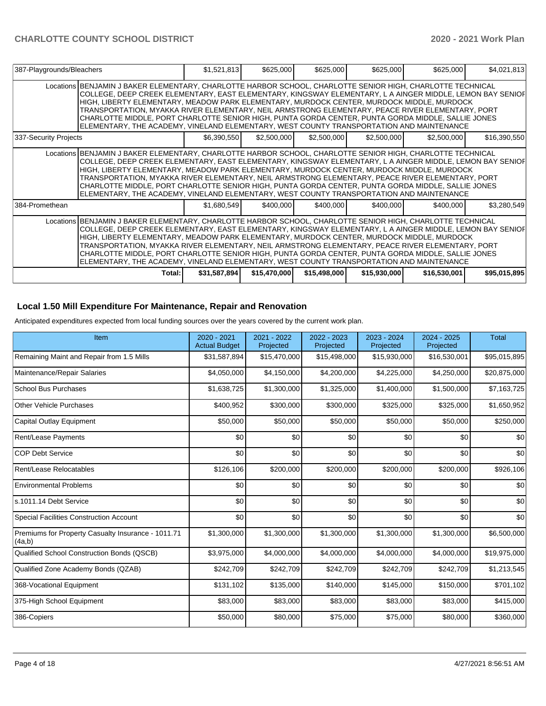| 387-Playgrounds/Bleachers |                                                                                                                                                                                                                                                                                                                                                                                                                                                                                                                                                                                                                            | \$1,521,813  | \$625,000    | \$625,000    | \$625,000    | \$625,000    | \$4,021,813  |
|---------------------------|----------------------------------------------------------------------------------------------------------------------------------------------------------------------------------------------------------------------------------------------------------------------------------------------------------------------------------------------------------------------------------------------------------------------------------------------------------------------------------------------------------------------------------------------------------------------------------------------------------------------------|--------------|--------------|--------------|--------------|--------------|--------------|
|                           | Locations BENJAMIN J BAKER ELEMENTARY, CHARLOTTE HARBOR SCHOOL, CHARLOTTE SENIOR HIGH, CHARLOTTE TECHNICAL<br>COLLEGE, DEEP CREEK ELEMENTARY, EAST ELEMENTARY, KINGSWAY ELEMENTARY, L A AINGER MIDDLE, LEMON BAY SENIOF<br>HIGH, LIBERTY ELEMENTARY, MEADOW PARK ELEMENTARY, MURDOCK CENTER, MURDOCK MIDDLE, MURDOCK<br>TRANSPORTATION, MYAKKA RIVER ELEMENTARY, NEIL ARMSTRONG ELEMENTARY, PEACE RIVER ELEMENTARY, PORT<br>CHARLOTTE MIDDLE, PORT CHARLOTTE SENIOR HIGH, PUNTA GORDA CENTER, PUNTA GORDA MIDDLE, SALLIE JONES<br>ELEMENTARY, THE ACADEMY, VINELAND ELEMENTARY, WEST COUNTY TRANSPORTATION AND MAINTENANCE |              |              |              |              |              |              |
| 337-Security Projects     |                                                                                                                                                                                                                                                                                                                                                                                                                                                                                                                                                                                                                            | \$6,390,550  | \$2,500,000  | \$2,500,000  | \$2,500,000  | \$2,500,000  | \$16,390,550 |
|                           | Locations BENJAMIN J BAKER ELEMENTARY, CHARLOTTE HARBOR SCHOOL, CHARLOTTE SENIOR HIGH, CHARLOTTE TECHNICAL<br>COLLEGE, DEEP CREEK ELEMENTARY, EAST ELEMENTARY, KINGSWAY ELEMENTARY, L A AINGER MIDDLE, LEMON BAY SENIOF<br>HIGH, LIBERTY ELEMENTARY, MEADOW PARK ELEMENTARY, MURDOCK CENTER, MURDOCK MIDDLE, MURDOCK<br>TRANSPORTATION, MYAKKA RIVER ELEMENTARY, NEIL ARMSTRONG ELEMENTARY, PEACE RIVER ELEMENTARY, PORT<br>CHARLOTTE MIDDLE, PORT CHARLOTTE SENIOR HIGH, PUNTA GORDA CENTER, PUNTA GORDA MIDDLE, SALLIE JONES<br>ELEMENTARY, THE ACADEMY, VINELAND ELEMENTARY, WEST COUNTY TRANSPORTATION AND MAINTENANCE |              |              |              |              |              |              |
| 384-Promethean            |                                                                                                                                                                                                                                                                                                                                                                                                                                                                                                                                                                                                                            | \$1,680,549  | \$400,000    | \$400,000    | \$400,000    | \$400,000    | \$3,280,549  |
|                           | Locations BENJAMIN J BAKER ELEMENTARY, CHARLOTTE HARBOR SCHOOL, CHARLOTTE SENIOR HIGH, CHARLOTTE TECHNICAL<br>COLLEGE, DEEP CREEK ELEMENTARY, EAST ELEMENTARY, KINGSWAY ELEMENTARY, L A AINGER MIDDLE, LEMON BAY SENIOF<br>HIGH, LIBERTY ELEMENTARY, MEADOW PARK ELEMENTARY, MURDOCK CENTER, MURDOCK MIDDLE, MURDOCK<br>TRANSPORTATION, MYAKKA RIVER ELEMENTARY, NEIL ARMSTRONG ELEMENTARY, PEACE RIVER ELEMENTARY, PORT<br>CHARLOTTE MIDDLE, PORT CHARLOTTE SENIOR HIGH, PUNTA GORDA CENTER, PUNTA GORDA MIDDLE, SALLIE JONES<br>ELEMENTARY, THE ACADEMY, VINELAND ELEMENTARY, WEST COUNTY TRANSPORTATION AND MAINTENANCE |              |              |              |              |              |              |
|                           | Total: I                                                                                                                                                                                                                                                                                                                                                                                                                                                                                                                                                                                                                   | \$31,587,894 | \$15,470,000 | \$15,498,000 | \$15,930,000 | \$16,530,001 | \$95,015,895 |

## **Local 1.50 Mill Expenditure For Maintenance, Repair and Renovation**

Anticipated expenditures expected from local funding sources over the years covered by the current work plan.

| Item                                                         | 2020 - 2021<br><b>Actual Budget</b> | 2021 - 2022<br>Projected | 2022 - 2023<br>Projected | 2023 - 2024<br>Projected | 2024 - 2025<br>Projected | <b>Total</b> |
|--------------------------------------------------------------|-------------------------------------|--------------------------|--------------------------|--------------------------|--------------------------|--------------|
| Remaining Maint and Repair from 1.5 Mills                    | \$31,587,894                        | \$15,470,000             | \$15,498,000             | \$15,930,000             | \$16,530,001             | \$95,015,895 |
| Maintenance/Repair Salaries                                  | \$4,050,000                         | \$4,150,000              | \$4,200,000              | \$4,225,000              | \$4,250,000              | \$20,875,000 |
| <b>School Bus Purchases</b>                                  | \$1,638,725                         | \$1,300,000              | \$1,325,000              | \$1,400,000              | \$1,500,000              | \$7,163,725  |
| <b>Other Vehicle Purchases</b>                               | \$400,952                           | \$300,000                | \$300,000                | \$325,000                | \$325,000                | \$1,650,952  |
| <b>Capital Outlay Equipment</b>                              | \$50,000                            | \$50,000                 | \$50,000                 | \$50,000                 | \$50,000                 | \$250,000    |
| <b>Rent/Lease Payments</b>                                   | \$0                                 | \$0                      | \$0                      | \$0                      | \$0                      | \$0          |
| <b>COP Debt Service</b>                                      | \$0                                 | \$0                      | \$0                      | \$0                      | \$0                      | \$0          |
| Rent/Lease Relocatables                                      | \$126,106                           | \$200,000                | \$200,000                | \$200,000                | \$200,000                | \$926,106    |
| <b>Environmental Problems</b>                                | \$0                                 | \$0                      | \$0                      | \$0                      | \$0                      | \$0          |
| s.1011.14 Debt Service                                       | \$0                                 | \$0                      | \$0                      | \$0                      | \$0                      | \$0          |
| <b>Special Facilities Construction Account</b>               | \$0                                 | \$0                      | \$0                      | \$0                      | \$0                      | \$0          |
| Premiums for Property Casualty Insurance - 1011.71<br>(4a,b) | \$1,300,000                         | \$1,300,000              | \$1,300,000              | \$1,300,000              | \$1,300,000              | \$6,500,000  |
| Qualified School Construction Bonds (QSCB)                   | \$3,975,000                         | \$4,000,000              | \$4,000,000              | \$4,000,000              | \$4,000,000              | \$19,975,000 |
| Qualified Zone Academy Bonds (QZAB)                          | \$242,709                           | \$242,709                | \$242,709                | \$242,709                | \$242,709                | \$1,213,545  |
| 368-Vocational Equipment                                     | \$131,102                           | \$135,000                | \$140,000                | \$145,000                | \$150,000                | \$701,102    |
| 375-High School Equipment                                    | \$83,000                            | \$83,000                 | \$83,000                 | \$83,000                 | \$83,000                 | \$415,000    |
| 386-Copiers                                                  | \$50,000                            | \$80,000                 | \$75,000                 | \$75,000                 | \$80,000                 | \$360,000    |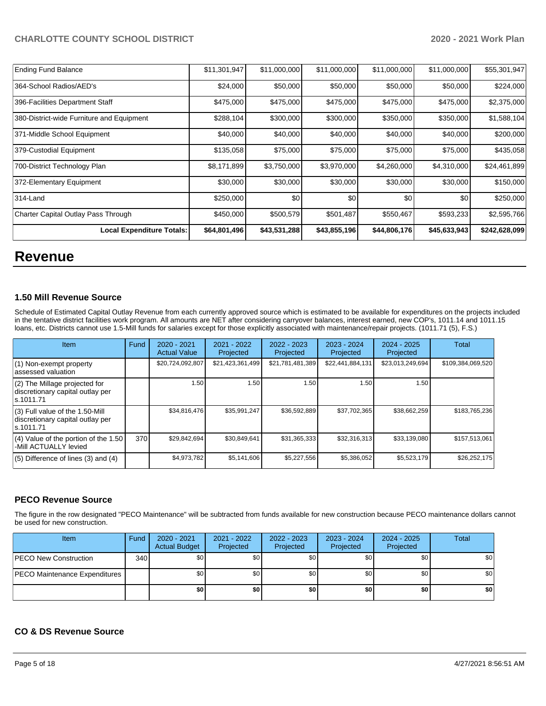| <b>Ending Fund Balance</b>                | \$11,301,947 | \$11,000,000 | \$11,000,000 | \$11,000,000 | \$11,000,000 | \$55,301,947  |
|-------------------------------------------|--------------|--------------|--------------|--------------|--------------|---------------|
| 364-School Radios/AED's                   | \$24,000     | \$50,000     | \$50,000     | \$50,000     | \$50,000     | \$224,000     |
| 396-Facilities Department Staff           | \$475,000    | \$475,000    | \$475,000    | \$475,000    | \$475,000    | \$2,375,000   |
| 380-District-wide Furniture and Equipment | \$288,104    | \$300,000    | \$300,000    | \$350,000    | \$350,000    | \$1,588,104   |
| 371-Middle School Equipment               | \$40,000     | \$40,000     | \$40,000     | \$40,000     | \$40,000     | \$200,000     |
| 379-Custodial Equipment                   | \$135,058    | \$75,000     | \$75,000     | \$75,000     | \$75,000     | \$435,058     |
| 700-District Technology Plan              | \$8,171,899  | \$3,750,000  | \$3,970,000  | \$4,260,000  | \$4,310,000  | \$24,461,899  |
| 372-Elementary Equipment                  | \$30,000     | \$30,000     | \$30,000     | \$30,000     | \$30,000     | \$150,000     |
| 314-Land                                  | \$250,000    | \$0          | \$0          | \$0          | \$0          | \$250,000     |
| Charter Capital Outlay Pass Through       | \$450,000    | \$500,579    | \$501,487    | \$550,467    | \$593,233    | \$2,595,766   |
| <b>Local Expenditure Totals:</b>          | \$64,801,496 | \$43,531,288 | \$43,855,196 | \$44,806,176 | \$45,633,943 | \$242,628,099 |

# **Revenue**

## **1.50 Mill Revenue Source**

Schedule of Estimated Capital Outlay Revenue from each currently approved source which is estimated to be available for expenditures on the projects included in the tentative district facilities work program. All amounts are NET after considering carryover balances, interest earned, new COP's, 1011.14 and 1011.15 loans, etc. Districts cannot use 1.5-Mill funds for salaries except for those explicitly associated with maintenance/repair projects. (1011.71 (5), F.S.)

| <b>Item</b>                                                                         | Fund | $2020 - 2021$<br><b>Actual Value</b> | $2021 - 2022$<br>Projected | $2022 - 2023$<br>Projected | $2023 - 2024$<br>Projected | $2024 - 2025$<br>Projected | Total             |
|-------------------------------------------------------------------------------------|------|--------------------------------------|----------------------------|----------------------------|----------------------------|----------------------------|-------------------|
| (1) Non-exempt property<br>lassessed valuation                                      |      | \$20,724,092,807                     | \$21,423,361,499           | \$21,781,481,389           | \$22,441,884,131           | \$23,013,249,694           | \$109,384,069,520 |
| $(2)$ The Millage projected for<br>discretionary capital outlay per<br>ls.1011.71   |      | 1.50                                 | 1.50                       | 1.50                       | 1.50                       | 1.50                       |                   |
| $(3)$ Full value of the 1.50-Mill<br>discretionary capital outlay per<br>ls.1011.71 |      | \$34,816,476                         | \$35,991,247               | \$36,592,889               | \$37,702,365               | \$38,662,259               | \$183,765,236     |
| $(4)$ Value of the portion of the 1.50<br>-Mill ACTUALLY levied                     | 370  | \$29,842,694                         | \$30.849.641               | \$31,365,333               | \$32,316,313               | \$33,139,080               | \$157,513,061     |
| $(5)$ Difference of lines (3) and (4)                                               |      | \$4,973,782                          | \$5,141,606                | \$5,227,556                | \$5,386,052                | \$5,523,179                | \$26,252,175      |

## **PECO Revenue Source**

The figure in the row designated "PECO Maintenance" will be subtracted from funds available for new construction because PECO maintenance dollars cannot be used for new construction.

| <b>Item</b>                          | Fund             | $2020 - 2021$<br><b>Actual Budget</b> | 2021 - 2022<br>Projected | 2022 - 2023<br>Projected | 2023 - 2024<br>Projected | 2024 - 2025<br>Projected | Total |
|--------------------------------------|------------------|---------------------------------------|--------------------------|--------------------------|--------------------------|--------------------------|-------|
| <b>PECO New Construction</b>         | 340 <sup>1</sup> | \$0 <sub>1</sub>                      | \$0                      | \$0                      | \$0                      | \$0 <sub>1</sub>         | \$0   |
| <b>PECO Maintenance Expenditures</b> |                  | \$0 <sub>1</sub>                      | \$0                      | \$0                      | \$0                      | \$0                      | \$0   |
|                                      |                  | \$0                                   | \$0                      | \$0                      | \$0                      | \$0                      | \$0   |

## **CO & DS Revenue Source**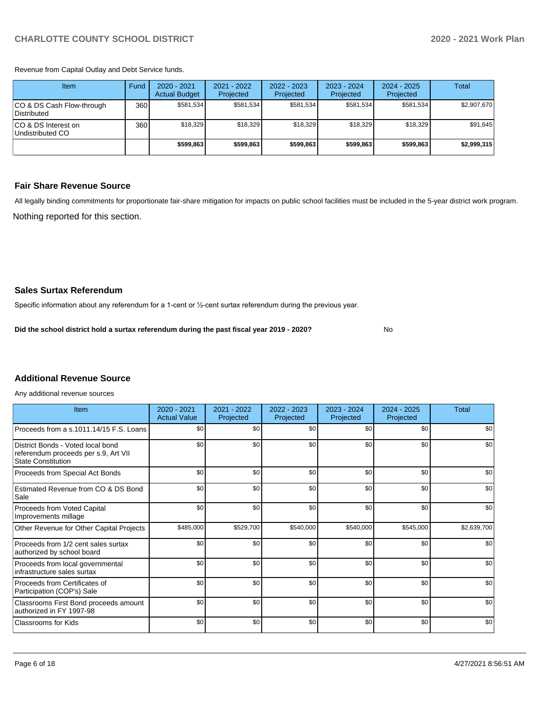Revenue from Capital Outlay and Debt Service funds.

| Item                                     | Fund             | $2020 - 2021$<br><b>Actual Budget</b> | 2021 - 2022<br>Projected | 2022 - 2023<br>Projected | $2023 - 2024$<br>Projected | $2024 - 2025$<br>Projected | Total       |
|------------------------------------------|------------------|---------------------------------------|--------------------------|--------------------------|----------------------------|----------------------------|-------------|
| CO & DS Cash Flow-through<br>Distributed | 360 <sup>1</sup> | \$581.534                             | \$581.534                | \$581.534                | \$581.534                  | \$581.534                  | \$2,907,670 |
| ICO & DS Interest on<br>Undistributed CO | 360              | \$18.329                              | \$18.329                 | \$18.329                 | \$18,329                   | \$18.329                   | \$91,645    |
|                                          |                  | \$599.863                             | \$599.863                | \$599.863                | \$599.863                  | \$599.863                  | \$2,999,315 |

## **Fair Share Revenue Source**

Nothing reported for this section. All legally binding commitments for proportionate fair-share mitigation for impacts on public school facilities must be included in the 5-year district work program.

No

### **Sales Surtax Referendum**

Specific information about any referendum for a 1-cent or ½-cent surtax referendum during the previous year.

**Did the school district hold a surtax referendum during the past fiscal year 2019 - 2020?**

# **Additional Revenue Source**

Any additional revenue sources

| Item                                                                                            | $2020 - 2021$<br><b>Actual Value</b> | 2021 - 2022<br>Projected | $2022 - 2023$<br>Projected | $2023 - 2024$<br>Projected | $2024 - 2025$<br>Projected | Total       |
|-------------------------------------------------------------------------------------------------|--------------------------------------|--------------------------|----------------------------|----------------------------|----------------------------|-------------|
| Proceeds from a s.1011.14/15 F.S. Loans                                                         | \$0                                  | \$0                      | \$0                        | \$0                        | \$0                        | \$0         |
| District Bonds - Voted local bond<br>referendum proceeds per s.9, Art VII<br>State Constitution | \$0                                  | \$0                      | \$0                        | \$0                        | \$0                        | \$0         |
| Proceeds from Special Act Bonds                                                                 | \$0                                  | \$0                      | \$0                        | \$0                        | \$0                        | \$0         |
| Estimated Revenue from CO & DS Bond<br>Sale                                                     | \$0                                  | \$0                      | \$0                        | \$0                        | \$0                        | \$0         |
| Proceeds from Voted Capital<br>Improvements millage                                             | \$0                                  | \$0                      | \$0                        | \$0                        | \$0                        | \$0         |
| Other Revenue for Other Capital Projects                                                        | \$485,000                            | \$529,700                | \$540,000                  | \$540,000                  | \$545,000                  | \$2,639,700 |
| Proceeds from 1/2 cent sales surtax<br>authorized by school board                               | \$0                                  | \$0                      | \$0                        | \$0                        | \$0                        | \$0         |
| Proceeds from local governmental<br>infrastructure sales surtax                                 | \$0                                  | \$0                      | \$0                        | \$0                        | \$0                        | \$0         |
| Proceeds from Certificates of<br>Participation (COP's) Sale                                     | \$0                                  | \$0                      | \$0                        | \$0                        | \$0                        | \$0         |
| Classrooms First Bond proceeds amount<br>authorized in FY 1997-98                               | \$0                                  | \$0                      | \$0                        | \$0                        | \$0                        | \$0         |
| Classrooms for Kids                                                                             | \$0                                  | \$0                      | \$0                        | \$0                        | \$0                        | \$0         |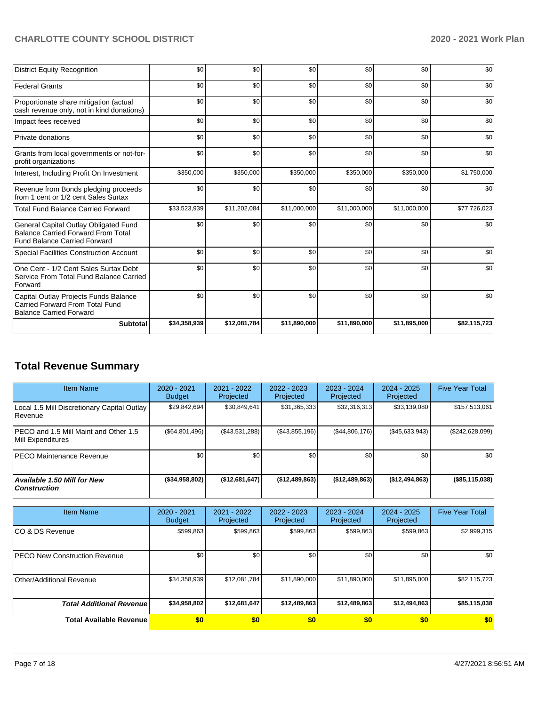| <b>District Equity Recognition</b>                                                                                        | \$0          | \$0          | \$0          | \$0          | \$0          | \$0          |
|---------------------------------------------------------------------------------------------------------------------------|--------------|--------------|--------------|--------------|--------------|--------------|
| <b>Federal Grants</b>                                                                                                     | \$0          | \$0          | \$0          | \$0          | \$0          | \$0          |
| Proportionate share mitigation (actual<br>cash revenue only, not in kind donations)                                       | \$0          | \$0          | \$0          | \$0          | \$0          | \$0          |
| Impact fees received                                                                                                      | \$0          | \$0          | \$0          | \$0          | \$0          | \$0          |
| Private donations                                                                                                         | \$0          | \$0          | \$0          | \$0          | \$0          | \$0          |
| Grants from local governments or not-for-<br>profit organizations                                                         | \$0          | \$0          | \$0          | \$0          | \$0          | \$0          |
| Interest, Including Profit On Investment                                                                                  | \$350,000    | \$350,000    | \$350,000    | \$350,000    | \$350,000    | \$1,750,000  |
| Revenue from Bonds pledging proceeds<br>from 1 cent or 1/2 cent Sales Surtax                                              | \$0          | \$0          | \$0          | \$0          | \$0          | \$0          |
| <b>Total Fund Balance Carried Forward</b>                                                                                 | \$33,523,939 | \$11,202,084 | \$11,000,000 | \$11,000,000 | \$11,000,000 | \$77,726,023 |
| General Capital Outlay Obligated Fund<br><b>Balance Carried Forward From Total</b><br><b>Fund Balance Carried Forward</b> | \$0          | \$0          | \$0          | \$0          | \$0          | \$0          |
| <b>Special Facilities Construction Account</b>                                                                            | \$0          | \$0          | \$0          | \$0          | \$0          | \$0          |
| One Cent - 1/2 Cent Sales Surtax Debt<br>Service From Total Fund Balance Carried<br>Forward                               | \$0          | \$0          | \$0          | \$0          | \$0          | \$0          |
| Capital Outlay Projects Funds Balance<br>Carried Forward From Total Fund<br><b>Balance Carried Forward</b>                | \$0          | \$0          | \$0          | \$0          | \$0          | \$0          |
| <b>Subtotal</b>                                                                                                           | \$34,358,939 | \$12,081,784 | \$11,890,000 | \$11,890,000 | \$11,895,000 | \$82,115,723 |

# **Total Revenue Summary**

| <b>Item Name</b>                                           | 2020 - 2021<br><b>Budget</b> | 2021 - 2022<br>Projected | $2022 - 2023$<br>Projected | $2023 - 2024$<br>Projected | 2024 - 2025<br>Projected | <b>Five Year Total</b> |
|------------------------------------------------------------|------------------------------|--------------------------|----------------------------|----------------------------|--------------------------|------------------------|
| Local 1.5 Mill Discretionary Capital Outlay<br> Revenue    | \$29,842,694                 | \$30,849,641             | \$31,365,333               | \$32,316,313               | \$33,139,080             | \$157,513,061          |
| PECO and 1.5 Mill Maint and Other 1.5<br>Mill Expenditures | (S64, 801, 496)              | (S43.531.288)            | (\$43,855,196)             | (S44, 806, 176)            | $($ \$45,633,943)        | (\$242,628,099)        |
| <b>PECO Maintenance Revenue</b>                            | \$0 <sub>1</sub>             | \$0 <sub>1</sub>         | \$0                        | \$0                        | \$0                      | \$0                    |
| Available 1.50 Mill for New<br><b>Construction</b>         | ( \$34, 958, 802)            | (\$12,681,647)           | (\$12,489,863)             | (\$12,489,863)             | (\$12,494,863)           | (\$85,115,038)         |

| <b>Item Name</b>                      | 2020 - 2021<br><b>Budget</b> | $2021 - 2022$<br>Projected | 2022 - 2023<br>Projected | 2023 - 2024<br>Projected | $2024 - 2025$<br>Projected | <b>Five Year Total</b> |
|---------------------------------------|------------------------------|----------------------------|--------------------------|--------------------------|----------------------------|------------------------|
| ICO & DS Revenue                      | \$599,863                    | \$599,863                  | \$599,863                | \$599,863                | \$599,863                  | \$2,999,315            |
| <b>IPECO New Construction Revenue</b> | \$0                          | \$0                        | \$0 <sub>1</sub>         | \$0                      | \$0                        | \$0                    |
| Other/Additional Revenue              | \$34,358,939                 | \$12,081,784               | \$11,890,000             | \$11,890,000             | \$11,895,000               | \$82,115,723           |
| <b>Total Additional Revenue</b>       | \$34,958,802                 | \$12,681,647               | \$12,489,863             | \$12,489,863             | \$12,494,863               | \$85,115,038           |
| <b>Total Available Revenue</b>        | \$0                          | \$0                        | \$0                      | \$0                      | \$0                        | \$0                    |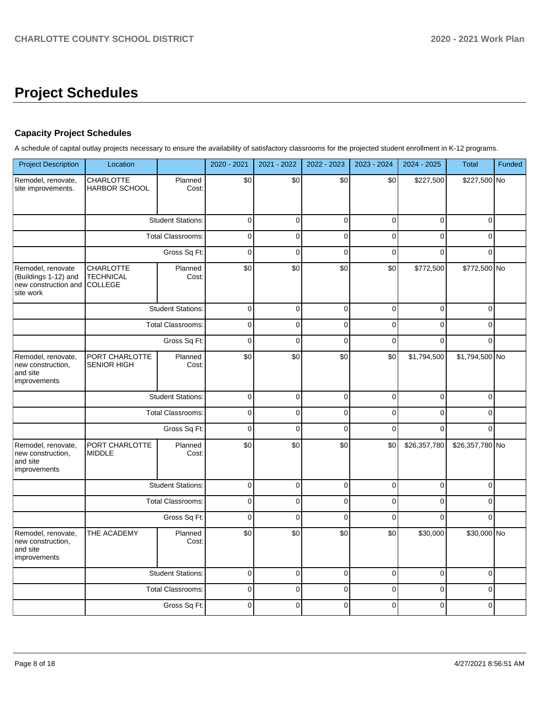# **Project Schedules**

# **Capacity Project Schedules**

A schedule of capital outlay projects necessary to ensure the availability of satisfactory classrooms for the projected student enrollment in K-12 programs.

| <b>Project Description</b>                                                     | Location                                        |                          | 2020 - 2021 | 2021 - 2022 | 2022 - 2023 | 2023 - 2024 | 2024 - 2025    | <b>Total</b>    | Funded |
|--------------------------------------------------------------------------------|-------------------------------------------------|--------------------------|-------------|-------------|-------------|-------------|----------------|-----------------|--------|
| Remodel, renovate,<br>site improvements.                                       | <b>CHARLOTTE</b><br><b>HARBOR SCHOOL</b>        | Planned<br>Cost:         | \$0         | \$0         | \$0         | \$0         | \$227,500      | \$227,500 No    |        |
|                                                                                |                                                 | <b>Student Stations:</b> | $\mathbf 0$ | $\mathbf 0$ | $\mathbf 0$ | $\mathbf 0$ | 0              | $\Omega$        |        |
|                                                                                |                                                 | Total Classrooms:        | $\mathbf 0$ | $\mathbf 0$ | $\mathbf 0$ | $\Omega$    | $\Omega$       | $\Omega$        |        |
|                                                                                |                                                 | Gross Sq Ft:             | $\mathbf 0$ | $\mathbf 0$ | $\mathbf 0$ | $\mathbf 0$ | $\Omega$       | $\Omega$        |        |
| Remodel, renovate<br>(Buildings 1-12) and<br>new construction and<br>site work | <b>CHARLOTTE</b><br>TECHNICAL<br><b>COLLEGE</b> | Planned<br>Cost:         | \$0         | \$0         | \$0         | \$0         | \$772,500      | \$772,500 No    |        |
|                                                                                |                                                 | <b>Student Stations:</b> | $\pmb{0}$   | $\mathbf 0$ | $\pmb{0}$   | $\mathbf 0$ | 0              | 0               |        |
|                                                                                |                                                 | <b>Total Classrooms:</b> | $\Omega$    | $\Omega$    | $\Omega$    | $\Omega$    | $\overline{0}$ | $\Omega$        |        |
|                                                                                |                                                 | Gross Sq Ft:             | $\mathbf 0$ | $\mathbf 0$ | $\mathbf 0$ | $\mathbf 0$ | $\Omega$       | $\Omega$        |        |
| Remodel, renovate,<br>new construction,<br>and site<br>improvements            | PORT CHARLOTTE<br>SENIOR HIGH                   | Planned<br>Cost:         | \$0         | \$0         | \$0         | \$0         | \$1,794,500    | \$1,794,500 No  |        |
|                                                                                |                                                 | <b>Student Stations:</b> | $\pmb{0}$   | $\mathbf 0$ | $\mathbf 0$ | $\mathbf 0$ | 0              | 0               |        |
|                                                                                |                                                 | Total Classrooms:        | $\pmb{0}$   | $\pmb{0}$   | $\pmb{0}$   | $\pmb{0}$   | $\mathbf 0$    | $\mathbf 0$     |        |
|                                                                                |                                                 | Gross Sq Ft:             | $\mathbf 0$ | $\mathbf 0$ | $\mathbf 0$ | $\mathbf 0$ | $\Omega$       | $\Omega$        |        |
| Remodel, renovate,<br>new construction,<br>and site<br>improvements            | PORT CHARLOTTE<br><b>MIDDLE</b>                 | Planned<br>Cost:         | \$0         | \$0         | \$0         | \$0         | \$26,357,780   | \$26,357,780 No |        |
|                                                                                |                                                 | <b>Student Stations:</b> | $\pmb{0}$   | $\mathbf 0$ | $\pmb{0}$   | $\mathbf 0$ | 0              | 0               |        |
|                                                                                |                                                 | <b>Total Classrooms:</b> | $\pmb{0}$   | $\pmb{0}$   | $\pmb{0}$   | $\mathbf 0$ | $\mathbf 0$    | $\Omega$        |        |
|                                                                                |                                                 | Gross Sq Ft:             | $\Omega$    | $\Omega$    | $\Omega$    | $\Omega$    | $\Omega$       | $\Omega$        |        |
| Remodel, renovate,<br>new construction,<br>and site<br>improvements            | THE ACADEMY                                     | Planned<br>Cost:         | \$0         | \$0         | \$0         | \$0         | \$30,000       | \$30,000 No     |        |
|                                                                                |                                                 | <b>Student Stations:</b> | $\mathbf 0$ | $\mathbf 0$ | $\mathbf 0$ | $\mathbf 0$ | $\mathbf 0$    | $\Omega$        |        |
|                                                                                |                                                 | <b>Total Classrooms:</b> | $\pmb{0}$   | $\mathbf 0$ | $\pmb{0}$   | $\mathbf 0$ | 0              | 0               |        |
|                                                                                |                                                 | Gross Sq Ft:             | $\mathbf 0$ | $\Omega$    | $\Omega$    | $\Omega$    | $\Omega$       | $\Omega$        |        |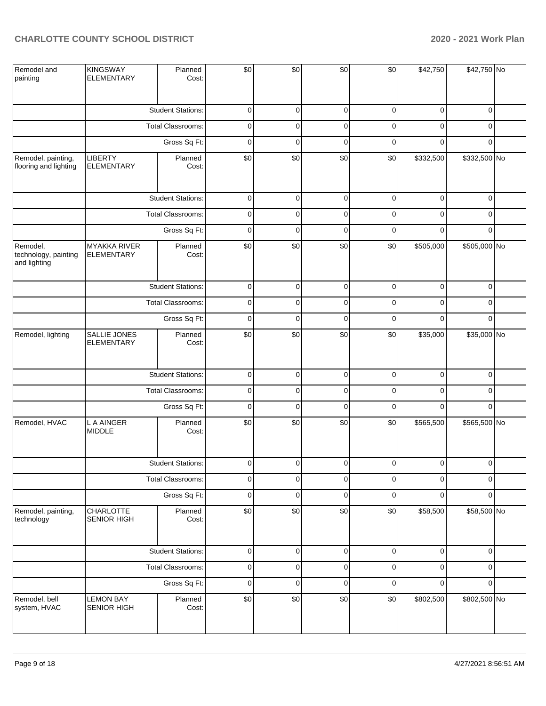| Remodel and<br>painting                          | <b>KINGSWAY</b><br><b>ELEMENTARY</b>     | Planned<br>Cost:         | \$0                 | \$0         | \$0         | \$0         | \$42,750    | \$42,750 No  |  |
|--------------------------------------------------|------------------------------------------|--------------------------|---------------------|-------------|-------------|-------------|-------------|--------------|--|
|                                                  |                                          | <b>Student Stations:</b> | $\pmb{0}$           | $\mathbf 0$ | $\mathbf 0$ | 0           | $\mathbf 0$ | 0            |  |
|                                                  |                                          | <b>Total Classrooms:</b> | $\pmb{0}$           | $\mathbf 0$ | $\mathbf 0$ | $\mathbf 0$ | $\mathbf 0$ | 0            |  |
|                                                  |                                          | Gross Sq Ft:             | $\pmb{0}$           | $\mathbf 0$ | $\mathbf 0$ | 0           | $\mathbf 0$ | 0            |  |
| Remodel, painting,<br>flooring and lighting      | <b>LIBERTY</b><br><b>ELEMENTARY</b>      | Planned<br>Cost:         | \$0                 | $$0$$       | \$0         | \$0         | \$332,500   | \$332,500 No |  |
|                                                  |                                          | <b>Student Stations:</b> | $\mathbf 0$         | $\mathbf 0$ | $\mathbf 0$ | $\mathbf 0$ | $\mathbf 0$ | $\mathbf 0$  |  |
|                                                  |                                          | Total Classrooms:        | $\pmb{0}$           | $\mathbf 0$ | $\mathbf 0$ | $\mathbf 0$ | $\mathbf 0$ | 0            |  |
|                                                  |                                          | Gross Sq Ft:             | $\pmb{0}$           | $\mathbf 0$ | $\mathbf 0$ | $\mathbf 0$ | $\mathbf 0$ | $\Omega$     |  |
| Remodel,<br>technology, painting<br>and lighting | <b>MYAKKA RIVER</b><br><b>ELEMENTARY</b> | Planned<br>Cost:         | \$0                 | \$0         | \$0         | \$0         | \$505,000   | \$505,000 No |  |
|                                                  |                                          | <b>Student Stations:</b> | $\pmb{0}$           | $\mathbf 0$ | $\mathbf 0$ | 0           | $\mathbf 0$ | $\mathbf 0$  |  |
|                                                  |                                          | Total Classrooms:        | $\pmb{0}$           | $\mathbf 0$ | $\mathbf 0$ | $\pmb{0}$   | $\mathbf 0$ | 0            |  |
|                                                  |                                          | Gross Sq Ft:             | $\pmb{0}$           | $\mathbf 0$ | $\mathbf 0$ | 0           | $\mathbf 0$ | $\Omega$     |  |
| Remodel, lighting                                | SALLIE JONES<br><b>ELEMENTARY</b>        | Planned<br>Cost:         | \$0                 | \$0         | \$0         | \$0         | \$35,000    | \$35,000 No  |  |
|                                                  |                                          | <b>Student Stations:</b> | $\mathsf{O}\xspace$ | $\mathbf 0$ | $\pmb{0}$   | $\pmb{0}$   | $\mathbf 0$ | 0            |  |
|                                                  |                                          | Total Classrooms:        | $\pmb{0}$           | $\mathbf 0$ | $\mathbf 0$ | $\mathbf 0$ | $\mathbf 0$ | 0            |  |
|                                                  |                                          | Gross Sq Ft:             | $\pmb{0}$           | $\mathbf 0$ | $\mathbf 0$ | $\pmb{0}$   | $\mathbf 0$ | 0            |  |
| Remodel, HVAC                                    | L A AINGER<br><b>MIDDLE</b>              | Planned<br>Cost:         | \$0                 | $$0$$       | \$0         | \$0         | \$565,500   | \$565,500 No |  |
|                                                  |                                          | <b>Student Stations:</b> | $\Omega$            | $\Omega$    | $\Omega$    | $\Omega$    | $\Omega$    | $\Omega$     |  |
|                                                  |                                          | Total Classrooms:        | $\pmb{0}$           | $\mathbf 0$ | $\mathbf 0$ | 0           | 0           | 0            |  |
|                                                  |                                          | Gross Sq Ft:             | $\pmb{0}$           | $\mathbf 0$ | $\mathbf 0$ | $\pmb{0}$   | $\mathbf 0$ | 0            |  |
| Remodel, painting,<br>technology                 | CHARLOTTE<br>SENIOR HIGH                 | Planned<br>Cost:         | \$0                 | $$0$$       | \$0         | \$0         | \$58,500    | \$58,500 No  |  |
|                                                  |                                          | <b>Student Stations:</b> | $\mathsf{O}\xspace$ | $\mathbf 0$ | $\pmb{0}$   | $\pmb{0}$   | $\mathbf 0$ | 0            |  |
|                                                  |                                          | Total Classrooms:        | $\mathsf{O}\xspace$ | $\pmb{0}$   | $\pmb{0}$   | $\pmb{0}$   | $\pmb{0}$   | 0            |  |
|                                                  |                                          | Gross Sq Ft:             | $\mathbf 0$         | $\mathbf 0$ | $\pmb{0}$   | $\pmb{0}$   | $\mathbf 0$ | 0            |  |
| Remodel, bell<br>system, HVAC                    | <b>LEMON BAY</b><br>SENIOR HIGH          | Planned<br>Cost:         | \$0                 | $$0$$       | \$0         | \$0         | \$802,500   | \$802,500 No |  |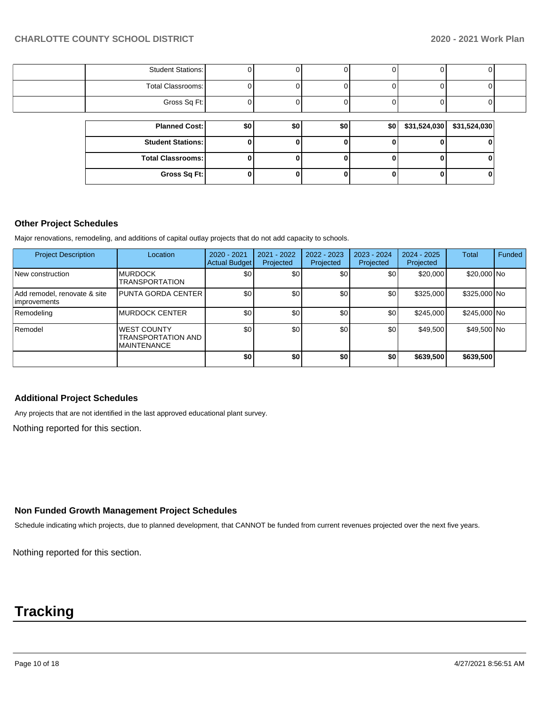| <b>Student Stations:</b> |     |     |                  |     |                             |  |
|--------------------------|-----|-----|------------------|-----|-----------------------------|--|
| Total Classrooms:        |     |     |                  |     |                             |  |
| Gross Sq Ft:             |     |     |                  |     |                             |  |
|                          |     |     |                  |     |                             |  |
| <b>Planned Cost:</b>     | \$0 | \$0 | \$0 <sub>1</sub> | \$0 | $$31,524,030$ $$31,524,030$ |  |
| <b>Student Stations:</b> |     |     |                  |     |                             |  |
| <b>Total Classrooms:</b> |     |     |                  |     |                             |  |
| Gross Sq Ft:             |     |     |                  |     | U                           |  |

## **Other Project Schedules**

Major renovations, remodeling, and additions of capital outlay projects that do not add capacity to schools.

| <b>Project Description</b>                          | Location                                                              | 2020 - 2021<br><b>Actual Budget</b> | 2021 - 2022<br>Projected | $2022 - 2023$<br>Projected | 2023 - 2024<br>Projected | $2024 - 2025$<br>Projected | Total        | Funded |
|-----------------------------------------------------|-----------------------------------------------------------------------|-------------------------------------|--------------------------|----------------------------|--------------------------|----------------------------|--------------|--------|
| New construction                                    | <b>MURDOCK</b><br><b>TRANSPORTATION</b>                               | \$0                                 | \$0                      | \$0                        | \$0                      | \$20,000                   | \$20,000 No  |        |
| Add remodel, renovate & site<br><b>improvements</b> | PUNTA GORDA CENTER                                                    | \$0                                 | \$0                      | \$0                        | \$0                      | \$325,000                  | \$325,000 No |        |
| Remodeling                                          | <b>IMURDOCK CENTER</b>                                                | \$0                                 | \$0                      | \$0                        | \$0                      | \$245.000                  | \$245,000 No |        |
| Remodel                                             | <b>WEST COUNTY</b><br><b>TRANSPORTATION AND</b><br><b>MAINTENANCE</b> | \$0                                 | \$0                      | \$0                        | \$0                      | \$49,500                   | \$49,500 No  |        |
|                                                     |                                                                       | \$0                                 | \$0                      | \$0                        | \$0                      | \$639,500                  | \$639,500    |        |

## **Additional Project Schedules**

Any projects that are not identified in the last approved educational plant survey.

Nothing reported for this section.

# **Non Funded Growth Management Project Schedules**

Schedule indicating which projects, due to planned development, that CANNOT be funded from current revenues projected over the next five years.

Nothing reported for this section.

# **Tracking**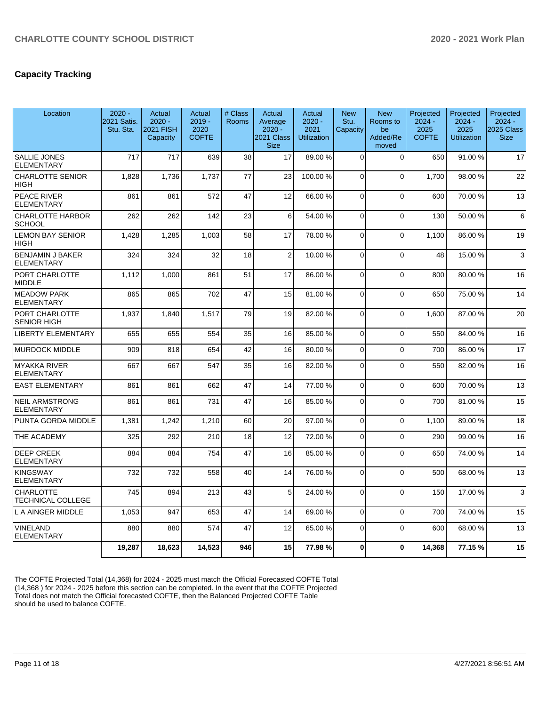# **Capacity Tracking**

| Location                                     | $2020 -$<br>2021 Satis.<br>Stu. Sta. | Actual<br>$2020 -$<br>2021 FISH<br>Capacity | Actual<br>$2019 -$<br>2020<br><b>COFTE</b> | # Class<br>Rooms | Actual<br>Average<br>$2020 -$<br>2021 Class<br><b>Size</b> | Actual<br>$2020 -$<br>2021<br><b>Utilization</b> | <b>New</b><br>Stu.<br>Capacity | <b>New</b><br>Rooms to<br>be<br>Added/Re<br>moved | Projected<br>$2024 -$<br>2025<br><b>COFTE</b> | Projected<br>$2024 -$<br>2025<br><b>Utilization</b> | Projected<br>$2024 -$<br>2025 Class  <br><b>Size</b> |
|----------------------------------------------|--------------------------------------|---------------------------------------------|--------------------------------------------|------------------|------------------------------------------------------------|--------------------------------------------------|--------------------------------|---------------------------------------------------|-----------------------------------------------|-----------------------------------------------------|------------------------------------------------------|
| <b>SALLIE JONES</b><br><b>ELEMENTARY</b>     | 717                                  | 717                                         | 639                                        | 38               | 17                                                         | 89.00 %                                          | $\Omega$                       | $\mathbf 0$                                       | 650                                           | 91.00 %                                             | 17                                                   |
| <b>CHARLOTTE SENIOR</b><br><b>HIGH</b>       | 1,828                                | 1,736                                       | 1,737                                      | 77               | 23                                                         | 100.00%                                          | $\Omega$                       | $\mathbf 0$                                       | 1.700                                         | 98.00%                                              | 22                                                   |
| PEACE RIVER<br><b>ELEMENTARY</b>             | 861                                  | 861                                         | 572                                        | 47               | 12                                                         | 66.00 %                                          | $\Omega$                       | 0                                                 | 600                                           | 70.00 %                                             | 13                                                   |
| CHARLOTTE HARBOR<br><b>SCHOOL</b>            | 262                                  | 262                                         | 142                                        | 23               | 6                                                          | 54.00%                                           | $\Omega$                       | $\Omega$                                          | 130                                           | 50.00 %                                             | $6 \mid$                                             |
| <b>LEMON BAY SENIOR</b><br><b>HIGH</b>       | 1,428                                | 1,285                                       | 1,003                                      | 58               | 17                                                         | 78.00 %                                          | $\Omega$                       | $\mathbf{0}$                                      | 1.100                                         | 86.00 %                                             | 19                                                   |
| <b>BENJAMIN J BAKER</b><br><b>ELEMENTARY</b> | 324                                  | 324                                         | 32                                         | 18               | $\overline{2}$                                             | 10.00 %                                          | $\Omega$                       | $\mathbf 0$                                       | 48                                            | 15.00 %                                             | 3                                                    |
| PORT CHARLOTTE<br><b>MIDDLE</b>              | 1,112                                | 1,000                                       | 861                                        | 51               | 17                                                         | 86.00 %                                          | $\Omega$                       | $\mathbf{0}$                                      | 800                                           | 80.00 %                                             | 16                                                   |
| <b>MEADOW PARK</b><br><b>ELEMENTARY</b>      | 865                                  | 865                                         | 702                                        | 47               | 15                                                         | 81.00%                                           | $\Omega$                       | 0                                                 | 650                                           | 75.00 %                                             | 14                                                   |
| <b>PORT CHARLOTTE</b><br><b>SENIOR HIGH</b>  | 1,937                                | 1,840                                       | 1,517                                      | 79               | 19                                                         | 82.00%                                           | $\Omega$                       | $\mathbf 0$                                       | 1,600                                         | 87.00 %                                             | 20                                                   |
| <b>LIBERTY ELEMENTARY</b>                    | 655                                  | 655                                         | 554                                        | 35               | 16                                                         | 85.00%                                           | $\Omega$                       | $\Omega$                                          | 550                                           | 84.00%                                              | 16                                                   |
| <b>MURDOCK MIDDLE</b>                        | 909                                  | 818                                         | 654                                        | 42               | 16                                                         | 80.00%                                           | $\Omega$                       | $\mathbf 0$                                       | 700                                           | 86.00 %                                             | 17                                                   |
| <b>MYAKKA RIVER</b><br><b>ELEMENTARY</b>     | 667                                  | 667                                         | 547                                        | 35               | 16                                                         | 82.00%                                           | $\Omega$                       | $\Omega$                                          | 550                                           | 82.00%                                              | 16                                                   |
| <b>EAST ELEMENTARY</b>                       | 861                                  | 861                                         | 662                                        | 47               | 14                                                         | 77.00 %                                          | $\Omega$                       | $\mathbf 0$                                       | 600                                           | 70.00 %                                             | 13                                                   |
| <b>NEIL ARMSTRONG</b><br><b>ELEMENTARY</b>   | 861                                  | 861                                         | 731                                        | 47               | 16                                                         | 85.00 %                                          | $\Omega$                       | $\mathbf{0}$                                      | 700                                           | 81.00%                                              | 15                                                   |
| PUNTA GORDA MIDDLE                           | 1,381                                | 1,242                                       | 1,210                                      | 60               | 20                                                         | 97.00 %                                          | $\Omega$                       | $\mathbf 0$                                       | 1.100                                         | 89.00 %                                             | 18                                                   |
| <b>THE ACADEMY</b>                           | 325                                  | 292                                         | 210                                        | 18               | 12                                                         | 72.00 %                                          | $\Omega$                       | $\overline{0}$                                    | 290                                           | 99.00 %                                             | 16                                                   |
| <b>DEEP CREEK</b><br><b>ELEMENTARY</b>       | 884                                  | 884                                         | 754                                        | 47               | 16                                                         | 85.00%                                           | $\Omega$                       | $\Omega$                                          | 650                                           | 74.00 %                                             | 14                                                   |
| <b>KINGSWAY</b><br><b>ELEMENTARY</b>         | 732                                  | 732                                         | 558                                        | 40               | 14                                                         | 76.00 %                                          | $\Omega$                       | $\Omega$                                          | 500                                           | 68.00%                                              | 13                                                   |
| <b>CHARLOTTE</b><br><b>TECHNICAL COLLEGE</b> | 745                                  | 894                                         | 213                                        | 43               | 5                                                          | 24.00%                                           | $\Omega$                       | $\mathbf{0}$                                      | 150                                           | 17.00 %                                             | $\overline{3}$                                       |
| L A AINGER MIDDLE                            | 1,053                                | 947                                         | 653                                        | 47               | 14                                                         | 69.00%                                           | $\Omega$                       | $\mathbf 0$                                       | 700                                           | 74.00 %                                             | 15                                                   |
| <b>VINELAND</b><br><b>ELEMENTARY</b>         | 880                                  | 880                                         | 574                                        | 47               | 12                                                         | 65.00 %                                          | $\Omega$                       | 0                                                 | 600                                           | 68.00 %                                             | 13                                                   |
|                                              | 19,287                               | 18,623                                      | 14,523                                     | 946              | 15                                                         | 77.98%                                           | $\bf{0}$                       | 0                                                 | 14,368                                        | 77.15 %                                             | 15                                                   |

The COFTE Projected Total (14,368) for 2024 - 2025 must match the Official Forecasted COFTE Total (14,368 ) for 2024 - 2025 before this section can be completed. In the event that the COFTE Projected Total does not match the Official forecasted COFTE, then the Balanced Projected COFTE Table should be used to balance COFTE.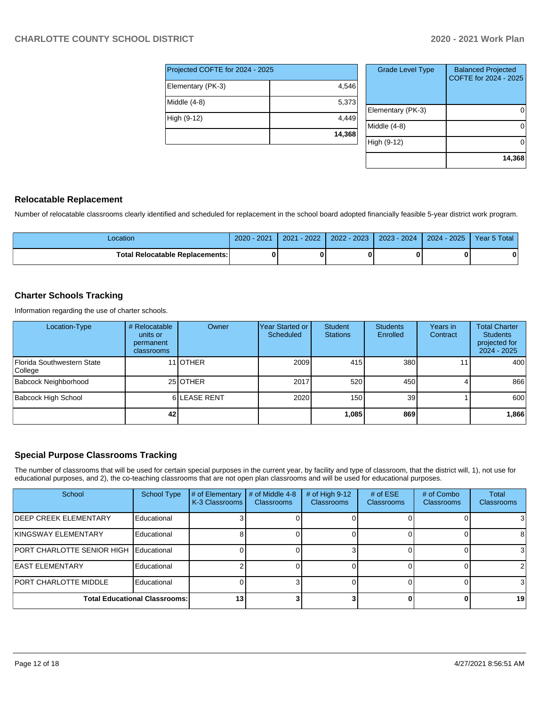| Projected COFTE for 2024 - 2025 |        |  |  |  |  |
|---------------------------------|--------|--|--|--|--|
| Elementary (PK-3)               | 4,546  |  |  |  |  |
| Middle (4-8)                    | 5,373  |  |  |  |  |
| High (9-12)                     | 4,449  |  |  |  |  |
|                                 | 14,368 |  |  |  |  |

| <b>Grade Level Type</b> | <b>Balanced Projected</b><br>COFTE for 2024 - 2025 |
|-------------------------|----------------------------------------------------|
| Elementary (PK-3)       |                                                    |
| Middle (4-8)            |                                                    |
| High (9-12)             |                                                    |
|                         | 14,368                                             |

## **Relocatable Replacement**

Number of relocatable classrooms clearly identified and scheduled for replacement in the school board adopted financially feasible 5-year district work program.

| _ocation                               | 2021<br>$2020 -$ | $-2022$<br>2021 | $4 - 2023$<br>2022 | 2023 - 2024 | $2024 - 2025$ | Year 5 Total |
|----------------------------------------|------------------|-----------------|--------------------|-------------|---------------|--------------|
| <b>Total Relocatable Replacements:</b> | n                |                 |                    |             |               | Λ            |

## **Charter Schools Tracking**

Information regarding the use of charter schools.

| Location-Type                         | # Relocatable<br>units or<br>permanent<br>classrooms | Owner            | Year Started or<br>Scheduled | <b>Student</b><br><b>Stations</b> | <b>Students</b><br>Enrolled | Years in<br>Contract | <b>Total Charter</b><br><b>Students</b><br>projected for<br>$2024 - 2025$ |
|---------------------------------------|------------------------------------------------------|------------------|------------------------------|-----------------------------------|-----------------------------|----------------------|---------------------------------------------------------------------------|
| Florida Southwestern State<br>College |                                                      | 11 <b>JOTHER</b> | 2009                         | 415                               | 380                         |                      | 400                                                                       |
| Babcock Neighborhood                  |                                                      | 25 OTHER         | 2017                         | 520                               | 450                         |                      | 866                                                                       |
| Babcock High School                   |                                                      | 6LEASE RENT      | 2020                         | 150                               | 39                          |                      | 600                                                                       |
|                                       | 42                                                   |                  |                              | 1,085                             | 869                         |                      | 1,866                                                                     |

## **Special Purpose Classrooms Tracking**

The number of classrooms that will be used for certain special purposes in the current year, by facility and type of classroom, that the district will, 1), not use for educational purposes, and 2), the co-teaching classrooms that are not open plan classrooms and will be used for educational purposes.

| School                               | <b>School Type</b> | # of Elementary<br>K-3 Classrooms | # of Middle 4-8<br><b>Classrooms</b> | # of High $9-12$<br>Classrooms | # of $ESE$<br><b>Classrooms</b> | # of Combo<br><b>Classrooms</b> | Total<br>Classrooms |
|--------------------------------------|--------------------|-----------------------------------|--------------------------------------|--------------------------------|---------------------------------|---------------------------------|---------------------|
| <b>IDEEP CREEK ELEMENTARY</b>        | Educational        |                                   |                                      |                                |                                 |                                 |                     |
| <b>KINGSWAY ELEMENTARY</b>           | Educational        |                                   |                                      |                                |                                 |                                 |                     |
| <b>PORT CHARLOTTE SENIOR HIGH</b>    | Educational        |                                   |                                      |                                |                                 |                                 |                     |
| <b>LEAST ELEMENTARY</b>              | Educational        |                                   |                                      |                                |                                 |                                 |                     |
| <b>PORT CHARLOTTE MIDDLE</b>         | Educational        |                                   |                                      |                                |                                 |                                 |                     |
| <b>Total Educational Classrooms:</b> |                    | 13                                |                                      |                                |                                 |                                 | 19                  |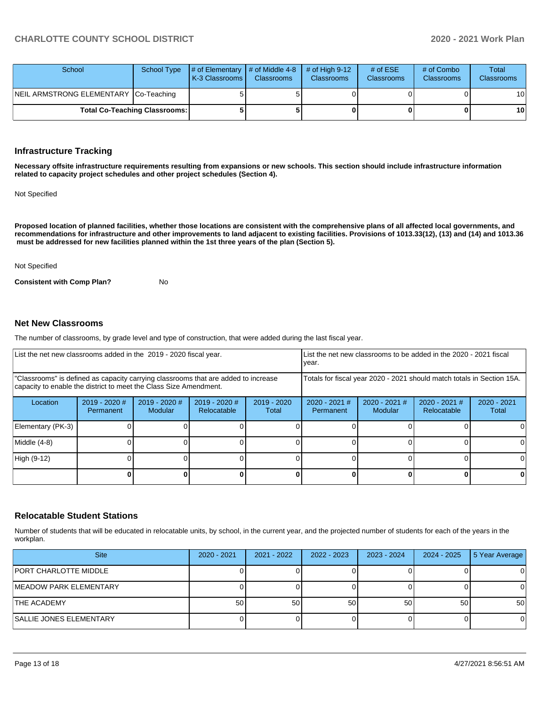| School                                | <b>School Type</b> | $\#$ of Elementary $\#$ of Middle 4-8<br><b>K-3 Classrooms</b> | <b>Classrooms</b> | $\#$ of High 9-12<br><b>Classrooms</b> | # of $ESE$<br><b>Classrooms</b> | # of Combo<br><b>Classrooms</b> | Total<br><b>Classrooms</b> |
|---------------------------------------|--------------------|----------------------------------------------------------------|-------------------|----------------------------------------|---------------------------------|---------------------------------|----------------------------|
| NEIL ARMSTRONG ELEMENTARY Co-Teaching |                    |                                                                |                   |                                        |                                 |                                 | 10 <sub>l</sub>            |
| <b>Total Co-Teaching Classrooms:</b>  |                    |                                                                |                   |                                        |                                 | 0                               | 10 <sup>1</sup>            |

#### **Infrastructure Tracking**

**Necessary offsite infrastructure requirements resulting from expansions or new schools. This section should include infrastructure information related to capacity project schedules and other project schedules (Section 4).** 

Not Specified

**Proposed location of planned facilities, whether those locations are consistent with the comprehensive plans of all affected local governments, and recommendations for infrastructure and other improvements to land adjacent to existing facilities. Provisions of 1013.33(12), (13) and (14) and 1013.36 must be addressed for new facilities planned within the 1st three years of the plan (Section 5).** 

#### Not Specified

**Consistent with Comp Plan?** No

## **Net New Classrooms**

The number of classrooms, by grade level and type of construction, that were added during the last fiscal year.

|                                                                                                                                                         |                              | List the net new classrooms added in the 2019 - 2020 fiscal year.<br>year. |                                |                        |                                                                        |                            | List the net new classrooms to be added in the 2020 - 2021 fiscal |                        |
|---------------------------------------------------------------------------------------------------------------------------------------------------------|------------------------------|----------------------------------------------------------------------------|--------------------------------|------------------------|------------------------------------------------------------------------|----------------------------|-------------------------------------------------------------------|------------------------|
| "Classrooms" is defined as capacity carrying classrooms that are added to increase<br>capacity to enable the district to meet the Class Size Amendment. |                              |                                                                            |                                |                        | Totals for fiscal year 2020 - 2021 should match totals in Section 15A. |                            |                                                                   |                        |
| Location                                                                                                                                                | $2019 - 2020$ #<br>Permanent | $2019 - 2020$ #<br><b>Modular</b>                                          | $2019 - 2020$ #<br>Relocatable | $2019 - 2020$<br>Total | $2020 - 2021$ #<br>Permanent                                           | $2020 - 2021$ #<br>Modular | $2020 - 2021$ #<br>Relocatable                                    | $2020 - 2021$<br>Total |
| Elementary (PK-3)                                                                                                                                       |                              |                                                                            |                                |                        |                                                                        |                            |                                                                   | 0                      |
| Middle (4-8)                                                                                                                                            |                              |                                                                            |                                |                        |                                                                        |                            |                                                                   | 0                      |
| High (9-12)                                                                                                                                             |                              |                                                                            |                                |                        |                                                                        |                            |                                                                   | 0                      |
|                                                                                                                                                         |                              |                                                                            |                                |                        |                                                                        |                            |                                                                   | 0                      |

#### **Relocatable Student Stations**

Number of students that will be educated in relocatable units, by school, in the current year, and the projected number of students for each of the years in the workplan.

| <b>Site</b>                    | 2020 - 2021 | 2021 - 2022 | $2022 - 2023$ | 2023 - 2024 | 2024 - 2025 | 5 Year Average |
|--------------------------------|-------------|-------------|---------------|-------------|-------------|----------------|
| PORT CHARLOTTE MIDDLE          |             |             |               |             |             | 0              |
| <b>IMEADOW PARK ELEMENTARY</b> |             |             |               |             |             | 0              |
| <b>THE ACADEMY</b>             | 50          | 50          | 50            | 50          | 50          | 50             |
| <b>SALLIE JONES ELEMENTARY</b> |             |             |               |             |             | 0              |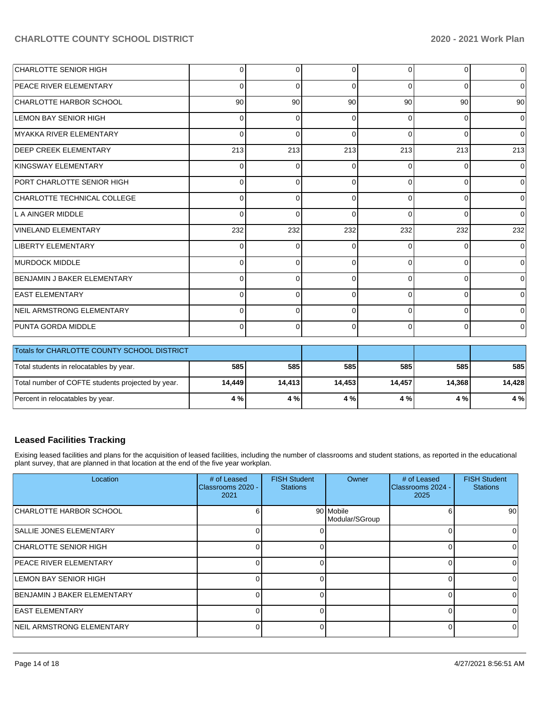| CHARLOTTE SENIOR HIGH             | $\overline{0}$  | $\Omega$    | 0            | $\Omega$ | $\Omega$ | $\overline{0}$ |
|-----------------------------------|-----------------|-------------|--------------|----------|----------|----------------|
| <b>PEACE RIVER ELEMENTARY</b>     | $\overline{0}$  | $\Omega$    | $\Omega$     | $\Omega$ | $\Omega$ | $\overline{0}$ |
| CHARLOTTE HARBOR SCHOOL           | 90 <sub>1</sub> | 90          | 90           | 90       | 90       | 90             |
| LEMON BAY SENIOR HIGH             | $\Omega$        | $\Omega$    | $\Omega$     | 0        | $\Omega$ | $\overline{0}$ |
| MYAKKA RIVER ELEMENTARY           | $\Omega$        | $\Omega$    | $\Omega$     | $\Omega$ | $\Omega$ | $\overline{0}$ |
| <b>DEEP CREEK ELEMENTARY</b>      | 213             | 213         | 213          | 213      | 213      | 213            |
| KINGSWAY ELEMENTARY               | $\overline{0}$  | $\mathbf 0$ | $\Omega$     | $\Omega$ | $\Omega$ | $\overline{0}$ |
| <b>PORT CHARLOTTE SENIOR HIGH</b> | $\Omega$        | $\Omega$    | $\Omega$     | $\Omega$ | $\Omega$ | $\overline{0}$ |
| CHARLOTTE TECHNICAL COLLEGE       | $\Omega$        | $\Omega$    | $\Omega$     | $\Omega$ | $\Omega$ | $\overline{0}$ |
| L A AINGER MIDDLE                 | $\Omega$        | $\Omega$    | $\Omega$     | $\Omega$ | $\Omega$ | $\overline{0}$ |
| VINELAND ELEMENTARY               | 232             | 232         | 232          | 232      | 232      | 232            |
| LIBERTY ELEMENTARY                | $\Omega$        | $\Omega$    | 0            | $\Omega$ | $\Omega$ | $\overline{0}$ |
| <b>MURDOCK MIDDLE</b>             | $\Omega$        | $\Omega$    | $\Omega$     | $\Omega$ | $\Omega$ | $\mathbf 0$    |
| BENJAMIN J BAKER ELEMENTARY       | $\Omega$        | $\Omega$    | $\Omega$     | $\Omega$ | 0        | $\overline{0}$ |
| <b>EAST ELEMENTARY</b>            | 0               | $\Omega$    | <sup>0</sup> | $\Omega$ | $\Omega$ | $\overline{0}$ |
| NEIL ARMSTRONG ELEMENTARY         | $\Omega$        | $\Omega$    | $\Omega$     | 0        | $\Omega$ | $\overline{0}$ |
| PUNTA GORDA MIDDLE                | $\Omega$        | $\Omega$    | 0            | 0        | $\Omega$ | $\overline{0}$ |

| <b>Totals for CHARLOTTE COUNTY SCHOOL DISTRICT</b> |        |        |        |        |        |        |
|----------------------------------------------------|--------|--------|--------|--------|--------|--------|
| Total students in relocatables by year.            | 585    | 585    | 585    | 585    | 585    | 585    |
| Total number of COFTE students projected by year.  | 14.449 | 14.413 | 14.453 | 14.457 | 14.368 | 14.428 |
| Percent in relocatables by year.                   | 4 %    | 4 %    | 4 %    | 4 % I  | 4 % I  | 4 %    |

# **Leased Facilities Tracking**

Exising leased facilities and plans for the acquisition of leased facilities, including the number of classrooms and student stations, as reported in the educational plant survey, that are planned in that location at the end of the five year workplan.

| Location                         | # of Leased<br>Classrooms 2020 -<br>2021 | <b>FISH Student</b><br><b>Stations</b> | Owner                       | # of Leased<br>Classrooms 2024 -<br>2025 | <b>FISH Student</b><br><b>Stations</b> |
|----------------------------------|------------------------------------------|----------------------------------------|-----------------------------|------------------------------------------|----------------------------------------|
| <b>CHARLOTTE HARBOR SCHOOL</b>   |                                          |                                        | 90 Mobile<br>Modular/SGroup |                                          | 90                                     |
| <b>SALLIE JONES ELEMENTARY</b>   |                                          |                                        |                             |                                          | 0                                      |
| <b>CHARLOTTE SENIOR HIGH</b>     |                                          |                                        |                             |                                          | 0                                      |
| <b>PEACE RIVER ELEMENTARY</b>    | ∩                                        |                                        |                             |                                          | $\Omega$                               |
| LEMON BAY SENIOR HIGH            |                                          |                                        |                             |                                          | 0                                      |
| BENJAMIN J BAKER ELEMENTARY      |                                          |                                        |                             |                                          | 0                                      |
| <b>LEAST ELEMENTARY</b>          |                                          |                                        |                             |                                          | 0                                      |
| <b>NEIL ARMSTRONG ELEMENTARY</b> | U                                        |                                        |                             |                                          | 0                                      |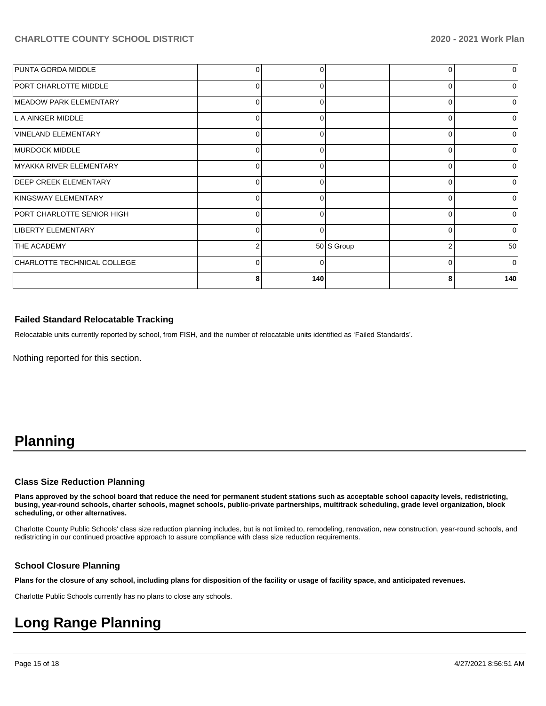| PUNTA GORDA MIDDLE           |   | 0        |            | 0        |          |
|------------------------------|---|----------|------------|----------|----------|
| <b>PORT CHARLOTTE MIDDLE</b> | 0 |          |            | 0        |          |
| MEADOW PARK ELEMENTARY       | 0 | $\Omega$ |            | 0        |          |
| L A AINGER MIDDLE            | 0 | 0        |            | 0        |          |
| VINELAND ELEMENTARY          | 0 |          |            | $\Omega$ |          |
| MURDOCK MIDDLE               | 0 | $\Omega$ |            | 0        | ∩        |
| MYAKKA RIVER ELEMENTARY      | 0 | 0        |            | 0        |          |
| <b>DEEP CREEK ELEMENTARY</b> | 0 |          |            | 0        |          |
| KINGSWAY ELEMENTARY          | 0 | $\Omega$ |            | 0        | U        |
| PORT CHARLOTTE SENIOR HIGH   | 0 | 0        |            | 0        |          |
| LIBERTY ELEMENTARY           | 0 |          |            | $\Omega$ |          |
| <b>THE ACADEMY</b>           | 2 |          | 50 S Group | 2        | 50       |
| CHARLOTTE TECHNICAL COLLEGE  | 0 | 0        |            | 0        | $\Omega$ |
|                              | 8 | 140      |            | 8        | 140      |

## **Failed Standard Relocatable Tracking**

Relocatable units currently reported by school, from FISH, and the number of relocatable units identified as 'Failed Standards'.

Nothing reported for this section.

# **Planning**

#### **Class Size Reduction Planning**

**Plans approved by the school board that reduce the need for permanent student stations such as acceptable school capacity levels, redistricting, busing, year-round schools, charter schools, magnet schools, public-private partnerships, multitrack scheduling, grade level organization, block scheduling, or other alternatives.**

Charlotte County Public Schools' class size reduction planning includes, but is not limited to, remodeling, renovation, new construction, year-round schools, and redistricting in our continued proactive approach to assure compliance with class size reduction requirements.

## **School Closure Planning**

**Plans for the closure of any school, including plans for disposition of the facility or usage of facility space, and anticipated revenues.** 

Charlotte Public Schools currently has no plans to close any schools.

# **Long Range Planning**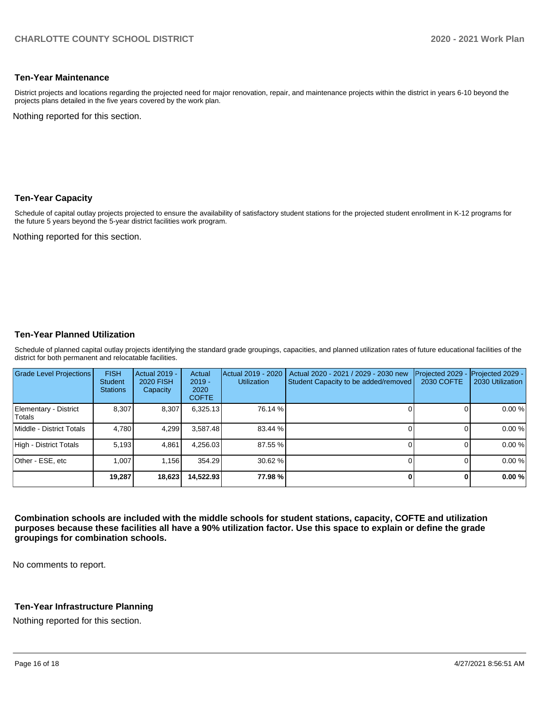## **Ten-Year Maintenance**

District projects and locations regarding the projected need for major renovation, repair, and maintenance projects within the district in years 6-10 beyond the projects plans detailed in the five years covered by the work plan.

Nothing reported for this section.

## **Ten-Year Capacity**

Schedule of capital outlay projects projected to ensure the availability of satisfactory student stations for the projected student enrollment in K-12 programs for the future 5 years beyond the 5-year district facilities work program.

Nothing reported for this section.

## **Ten-Year Planned Utilization**

Schedule of planned capital outlay projects identifying the standard grade groupings, capacities, and planned utilization rates of future educational facilities of the district for both permanent and relocatable facilities.

| <b>Grade Level Projections</b>  | <b>FISH</b><br><b>Student</b><br><b>Stations</b> | <b>Actual 2019 -</b><br><b>2020 FISH</b><br>Capacity | Actual<br>$2019 -$<br>2020<br><b>COFTE</b> | Actual 2019 - 2020<br><b>Utilization</b> | Actual 2020 - 2021 / 2029 - 2030 new<br>Student Capacity to be added/removed | Projected 2029<br><b>2030 COFTE</b> | Projected 2029 -<br>2030 Utilization |
|---------------------------------|--------------------------------------------------|------------------------------------------------------|--------------------------------------------|------------------------------------------|------------------------------------------------------------------------------|-------------------------------------|--------------------------------------|
| Elementary - District<br>Totals | 8.307                                            | 8,307                                                | 6,325.13                                   | 76.14 %                                  |                                                                              |                                     | 0.00%                                |
| Middle - District Totals        | 4.780                                            | 4,299                                                | 3.587.48                                   | 83.44 %                                  |                                                                              |                                     | 0.00%                                |
| High - District Totals          | 5.193                                            | 4,861                                                | 4.256.03                                   | 87.55 %                                  |                                                                              |                                     | 0.00%                                |
| Other - ESE, etc                | 1.007                                            | 1.156                                                | 354.29                                     | 30.62%                                   |                                                                              |                                     | 0.00%                                |
|                                 | 19,287                                           | 18,623                                               | 14,522.93                                  | 77.98%                                   |                                                                              | U                                   | 0.00%                                |

**Combination schools are included with the middle schools for student stations, capacity, COFTE and utilization purposes because these facilities all have a 90% utilization factor. Use this space to explain or define the grade groupings for combination schools.** 

No comments to report.

## **Ten-Year Infrastructure Planning**

Nothing reported for this section.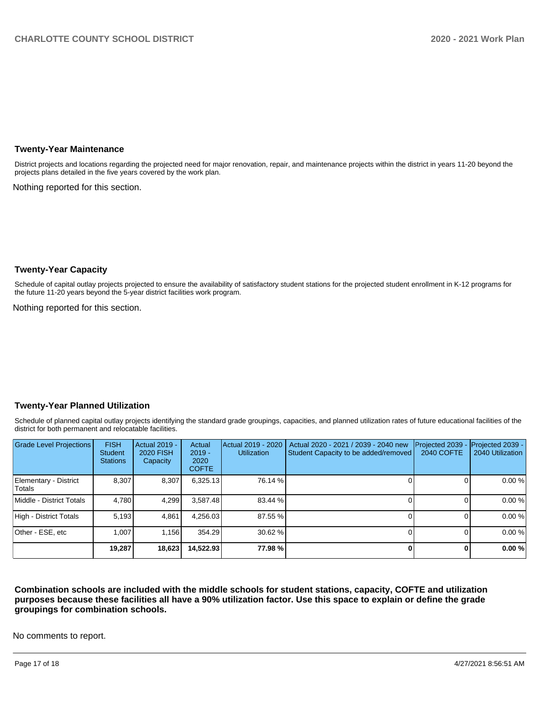#### **Twenty-Year Maintenance**

District projects and locations regarding the projected need for major renovation, repair, and maintenance projects within the district in years 11-20 beyond the projects plans detailed in the five years covered by the work plan.

Nothing reported for this section.

## **Twenty-Year Capacity**

Schedule of capital outlay projects projected to ensure the availability of satisfactory student stations for the projected student enrollment in K-12 programs for the future 11-20 years beyond the 5-year district facilities work program.

Nothing reported for this section.

## **Twenty-Year Planned Utilization**

Schedule of planned capital outlay projects identifying the standard grade groupings, capacities, and planned utilization rates of future educational facilities of the district for both permanent and relocatable facilities.

| <b>Grade Level Projections</b>         | <b>FISH</b><br><b>Student</b><br><b>Stations</b> | <b>Actual 2019 -</b><br>2020 FISH<br>Capacity | Actual<br>$2019 -$<br>2020<br><b>COFTE</b> | Actual 2019 - 2020<br><b>Utilization</b> | Actual 2020 - 2021 / 2039 - 2040 new<br>Student Capacity to be added/removed | Projected 2039<br>2040 COFTE | Projected 2039 -<br>2040 Utilization |
|----------------------------------------|--------------------------------------------------|-----------------------------------------------|--------------------------------------------|------------------------------------------|------------------------------------------------------------------------------|------------------------------|--------------------------------------|
| Elementary - District<br><b>Totals</b> | 8.307                                            | 8,307                                         | 6,325.13                                   | 76.14 %                                  |                                                                              |                              | 0.00 %                               |
| Middle - District Totals               | 4.780                                            | 4,299                                         | 3.587.48                                   | 83.44 %                                  |                                                                              |                              | 0.00 %                               |
| High - District Totals                 | 5,193                                            | 4,861                                         | 4,256.03                                   | 87.55 %                                  |                                                                              |                              | 0.00 %                               |
| Other - ESE, etc                       | 1.007                                            | 1.156                                         | 354.29                                     | 30.62 %                                  |                                                                              |                              | 0.00 %                               |
|                                        | 19,287                                           | 18,623                                        | 14,522.93                                  | 77.98%                                   |                                                                              |                              | 0.00%                                |

**Combination schools are included with the middle schools for student stations, capacity, COFTE and utilization purposes because these facilities all have a 90% utilization factor. Use this space to explain or define the grade groupings for combination schools.** 

No comments to report.